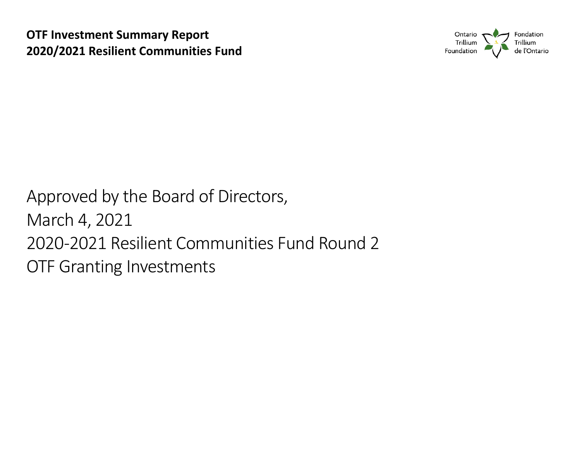

 2020 -2021 Resilient Communities Fund Round 2 Approved by the Board of Directors, March 4, 2021 OTF Granting Investments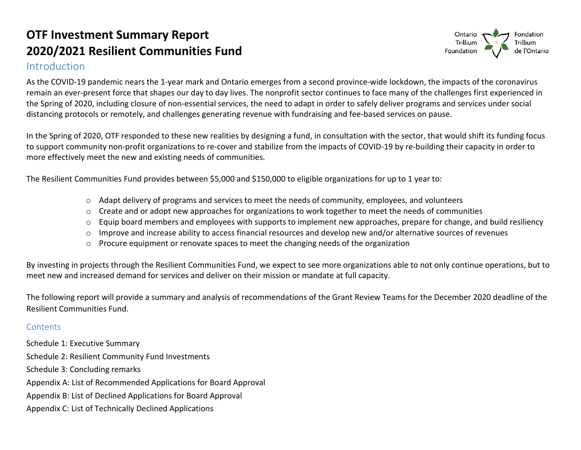### Introduction



 As the COVID-19 pandemic nears the 1-year mark and Ontario emerges from a second province-wide lockdown, the impacts of the coronavirus distancing protocols or remotely, and challenges generating revenue with fundraising and fee-based services on pause. remain an ever-present force that shapes our day to day lives. The nonprofit sector continues to face many of the challenges first experienced in the Spring of 2020, including closure of non-essential services, the need to adapt in order to safely deliver programs and services under social

In the Spring of 2020, OTF responded to these new realities by designing a fund, in consultation with the sector, that would shift its funding focus to support community non-profit organizations to re-cover and stabilize from the impacts of COVID-19 by re-building their capacity in order to more effectively meet the new and existing needs of communities.

The Resilient Communities Fund provides between \$5,000 and \$150,000 to eligible organizations for up to 1 year to:

- $\circ$  Adapt delivery of programs and services to meet the needs of community, employees, and volunteers
- $\circ$  Create and or adopt new approaches for organizations to work together to meet the needs of communities
- $\circ$  Equip board members and employees with supports to implement new approaches, prepare for change, and build resiliency
- o Improve and increase ability to access financial resources and develop new and/or alternative sources of revenues
- $\circ$  Procure equipment or renovate spaces to meet the changing needs of the organization

 meet new and increased demand for services and deliver on their mission or mandate at full capacity. By investing in projects through the Resilient Communities Fund, we expect to see more organizations able to not only continue operations, but to

 The following report will provide a summary and analysis of recommendations of the Grant Review Teams for the December 2020 deadline of the Resilient Communities Fund.

#### **Contents**

Schedule 1: Executive Summary Schedule 2: Resilient Community Fund Investments Schedule 3: Concluding remarks Appendix A: List of Recommended Applications for Board Approval Appendix B: List of Declined Applications for Board Approval Appendix C: List of Technically Declined Applications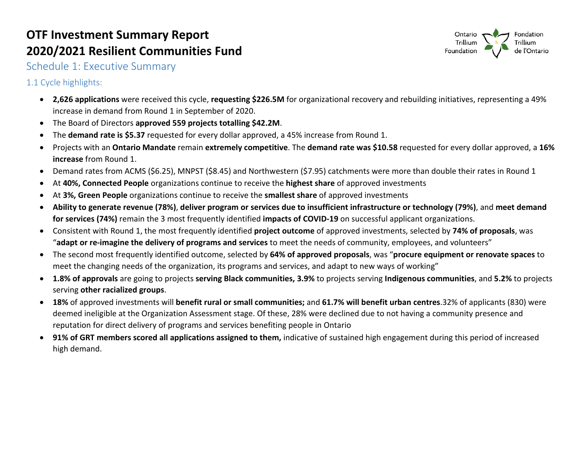

Schedule 1: Executive Summary

1.1 Cycle highlights:

- **2,626 applications** were received this cycle, **requesting \$226.5M** for organizational recovery and rebuilding initiatives, representing a 49% increase in demand from Round 1 in September of 2020.
- The Board of Directors **approved 559 projects totalling \$42.2M**.
- • The **demand rate is \$5.37** requested for every dollar approved, a 45% increase from Round 1.  $\bullet$
- • Projects with an **Ontario Mandate** remain **extremely competitive**. The **demand rate was \$10.58** requested for every dollar approved, a **16%**   $\bullet$ **increase** from Round 1.
- Demand rates from ACMS (\$6.25), MNPST (\$8.45) and Northwestern (\$7.95) catchments were more than double their rates in Round 1
- At **40%, Connected People** organizations continue to receive the **highest share** of approved investments
- At **3%, Green People** organizations continue to receive the **smallest share** of approved investments
- $\bullet$ • **Ability to generate revenue (78%)**, **deliver program or services due to insufficient infrastructure or technology (79%)**, and **meet demand for services (74%)** remain the 3 most frequently identified **impacts of COVID-19** on successful applicant organizations.
- Consistent with Round 1, the most frequently identified **project outcome** of approved investments, selected by **74% of proposals**, was "**adapt or re-imagine the delivery of programs and services** to meet the needs of community, employees, and volunteers"
- The second most frequently identified outcome, selected by **64% of approved proposals**, was "**procure equipment or renovate spaces** to meet the changing needs of the organization, its programs and services, and adapt to new ways of working"
- **1.8% of approvals** are going to projects **serving Black communities, 3.9%** to projects serving **Indigenous communities**, and **5.2%** to projects serving **other racialized groups**.
- **18%** of approved investments will **benefit rural or small communities;** and **61.7% will benefit urban centres**.32% of applicants (830) were deemed ineligible at the Organization Assessment stage. Of these, 28% were declined due to not having a community presence and reputation for direct delivery of programs and services benefiting people in Ontario
- **91% of GRT members scored all applications assigned to them,** indicative of sustained high engagement during this period of increased high demand.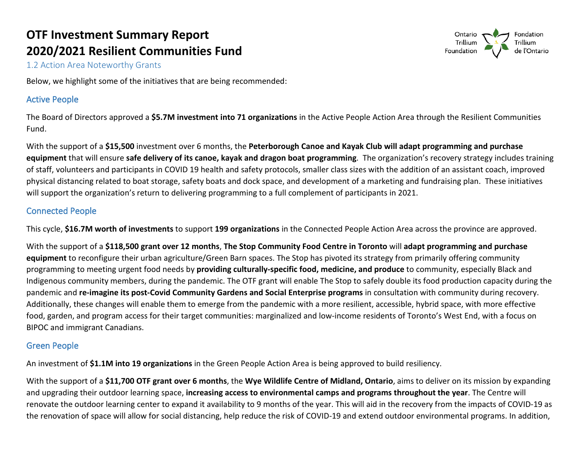

1.2 Action Area Noteworthy Grants

Below, we highlight some of the initiatives that are being recommended:

#### Active People

 The Board of Directors approved a **\$5.7M investment into 71 organizations** in the Active People Action Area through the Resilient Communities Fund.

 **equipment** that will ensure **safe delivery of its canoe, kayak and dragon boat programming**. The organization's recovery strategy includes training physical distancing related to boat storage, safety boats and dock space, and development of a marketing and fundraising plan. These initiatives will support the organization's return to delivering programming to a full complement of participants in 2021. With the support of a **\$15,500** investment over 6 months, the **Peterborough Canoe and Kayak Club will adapt programming and purchase**  of staff, volunteers and participants in COVID 19 health and safety protocols, smaller class sizes with the addition of an assistant coach, improved

#### Connected People

This cycle, **\$16.7M worth of investments** to support **199 organizations** in the Connected People Action Area across the province are approved.

 **equipment** to reconfigure their urban agriculture/Green Barn spaces. The Stop has pivoted its strategy from primarily offering community programming to meeting urgent food needs by **providing culturally-specific food, medicine, and produce** to community, especially Black and Indigenous community members, during the pandemic. The OTF grant will enable The Stop to safely double its food production capacity during the  pandemic and **re-imagine its post-Covid Community Gardens and Social Enterprise programs** in consultation with community during recovery. With the support of a **\$118,500 grant over 12 months**, **The Stop Community Food Centre in Toronto** will **adapt programming and purchase**  Additionally, these changes will enable them to emerge from the pandemic with a more resilient, accessible, hybrid space, with more effective food, garden, and program access for their target communities: marginalized and low-income residents of Toronto's West End, with a focus on BIPOC and immigrant Canadians.

#### Green People

An investment of **\$1.1M into 19 organizations** in the Green People Action Area is being approved to build resiliency.

 With the support of a **\$11,700 OTF grant over 6 months**, the **Wye Wildlife Centre of Midland, Ontario**, aims to deliver on its mission by expanding renovate the outdoor learning center to expand it availability to 9 months of the year. This will aid in the recovery from the impacts of COVID-19 as the renovation of space will allow for social distancing, help reduce the risk of COVID-19 and extend outdoor environmental programs. In addition, and upgrading their outdoor learning space, **increasing access to environmental camps and programs throughout the year**. The Centre will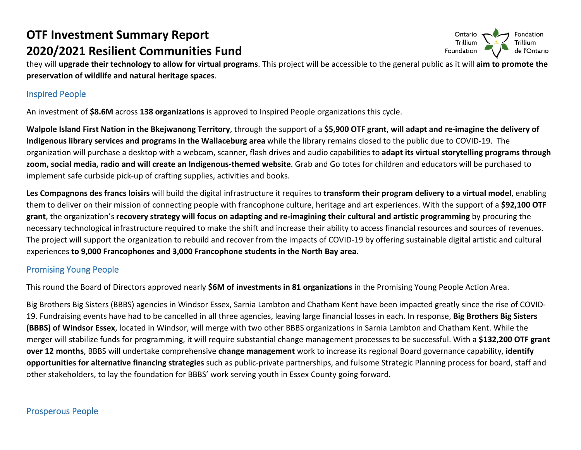

 **preservation of wildlife and natural heritage spaces**. they will **upgrade their technology to allow for virtual programs**. This project will be accessible to the general public as it will **aim to promote the** 

#### Inspired People

An investment of **\$8.6M** across **138 organizations** is approved to Inspired People organizations this cycle.

 **Indigenous library services and programs in the Wallaceburg area** while the library remains closed to the public due to COVID-19. The organization will purchase a desktop with a webcam, scanner, flash drives and audio capabilities to **adapt its virtual storytelling programs through Walpole Island First Nation in the Bkejwanong Territory**, through the support of a **\$5,900 OTF grant**, **will adapt and re-imagine the delivery of zoom, social media, radio and will create an Indigenous-themed website**. Grab and Go totes for children and educators will be purchased to implement safe curbside pick-up of crafting supplies, activities and books.

 **Les Compagnons des francs loisirs** will build the digital infrastructure it requires to **transform their program delivery to a virtual model**, enabling them to deliver on their mission of connecting people with francophone culture, heritage and art experiences. With the support of a **\$92,100 OTF grant**, the organization's **recovery strategy will focus on adapting and re-imagining their cultural and artistic programming** by procuring the necessary technological infrastructure required to make the shift and increase their ability to access financial resources and sources of revenues. The project will support the organization to rebuild and recover from the impacts of COVID-19 by offering sustainable digital artistic and cultural experiences **to 9,000 Francophones and 3,000 Francophone students in the North Bay area**.

### Promising Young People

 This round the Board of Directors approved nearly **\$6M of investments in 81 organizations** in the Promising Young People Action Area.

 **(BBBS) of Windsor Essex**, located in Windsor, will merge with two other BBBS organizations in Sarnia Lambton and Chatham Kent. While the **over 12 months**, BBBS will undertake comprehensive **change management** work to increase its regional Board governance capability, **identify opportunities for alternative financing strategies** such as public-private partnerships, and fulsome Strategic Planning process for board, staff and Big Brothers Big Sisters (BBBS) agencies in Windsor Essex, Sarnia Lambton and Chatham Kent have been impacted greatly since the rise of COVID-19. Fundraising events have had to be cancelled in all three agencies, leaving large financial losses in each. In response, **Big Brothers Big Sisters**  merger will stabilize funds for programming, it will require substantial change management processes to be successful. With a **\$132,200 OTF grant**  other stakeholders, to lay the foundation for BBBS' work serving youth in Essex County going forward.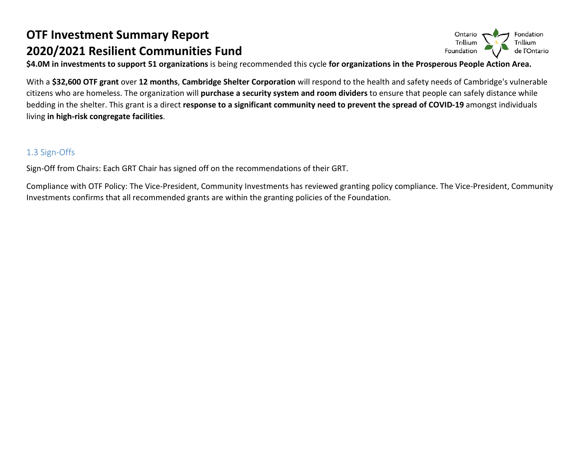**\$4.0M in investments to support 51 organizations** is being recommended this cycle **for organizations in the Prosperous People Action Area.** 

 citizens who are homeless. The organization will **purchase a security system and room dividers** to ensure that people can safely distance while With a **\$32,600 OTF grant** over **12 months**, **Cambridge Shelter Corporation** will respond to the health and safety needs of Cambridge's vulnerable bedding in the shelter. This grant is a direct **response to a significant community need to prevent the spread of COVID-19** amongst individuals living **in high-risk congregate facilities**.

### 1.3 Sign-Offs

Sign-Off from Chairs: Each GRT Chair has signed off on the recommendations of their GRT.

 Compliance with OTF Policy: The Vice-President, Community Investments has reviewed granting policy compliance. The Vice-President, Community Investments confirms that all recommended grants are within the granting policies of the Foundation.

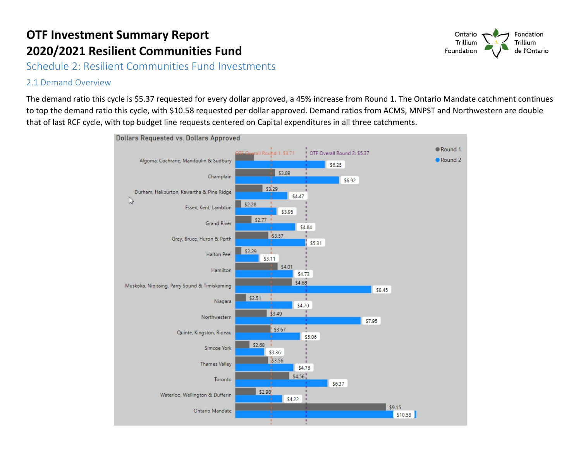Schedule 2: Resilient Communities Fund Investments

### 2.1 Demand Overview

 to top the demand ratio this cycle, with \$10.58 requested per dollar approved. Demand ratios from ACMS, MNPST and Northwestern are double The demand ratio this cycle is \$5.37 requested for every dollar approved, a 45% increase from Round 1. The Ontario Mandate catchment continues that of last RCF cycle, with top budget line requests centered on Capital expenditures in all three catchments.



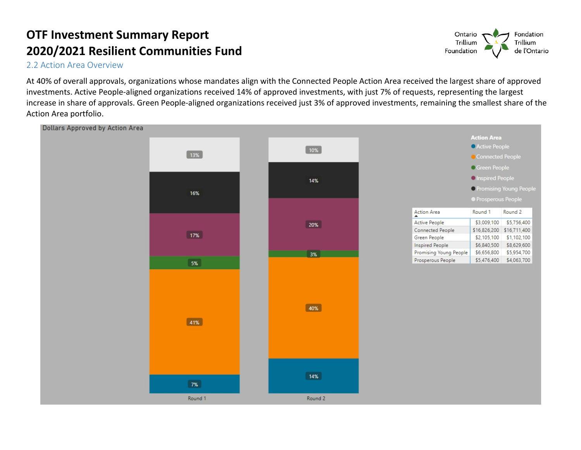2.2 Action Area Overview

 increase in share of approvals. Green People-aligned organizations received just 3% of approved investments, remaining the smallest share of the At 40% of overall approvals, organizations whose mandates align with the Connected People Action Area received the largest share of approved investments. Active People-aligned organizations received 14% of approved investments, with just 7% of requests, representing the largest Action Area portfolio.



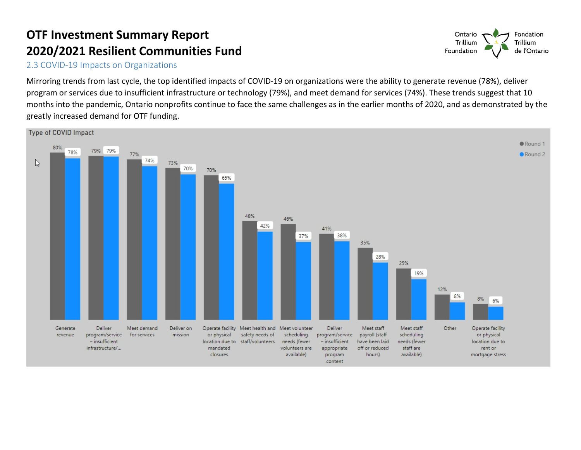2.3 COVID-19 Impacts on Organizations

 Mirroring trends from last cycle, the top identified impacts of COVID-19 on organizations were the ability to generate revenue (78%), deliver program or services due to insufficient infrastructure or technology (79%), and meet demand for services (74%). These trends suggest that 10 months into the pandemic, Ontario nonprofits continue to face the same challenges as in the earlier months of 2020, and as demonstrated by the greatly increased demand for OTF funding.



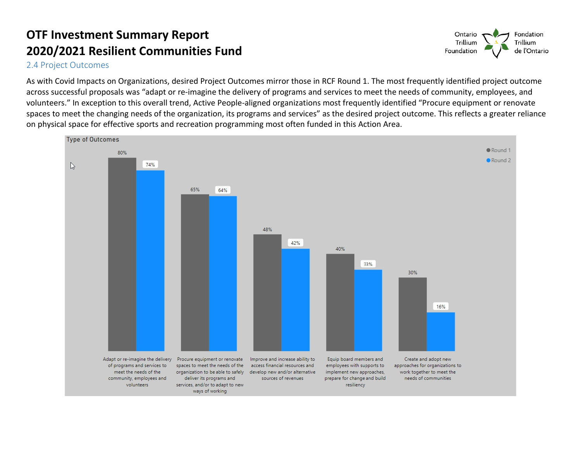2.4 Project Outcomes

 across successful proposals was "adapt or re-imagine the delivery of programs and services to meet the needs of community, employees, and As with Covid Impacts on Organizations, desired Project Outcomes mirror those in RCF Round 1. The most frequently identified project outcome volunteers." In exception to this overall trend, Active People-aligned organizations most frequently identified "Procure equipment or renovate spaces to meet the changing needs of the organization, its programs and services" as the desired project outcome. This reflects a greater reliance on physical space for effective sports and recreation programming most often funded in this Action Area.



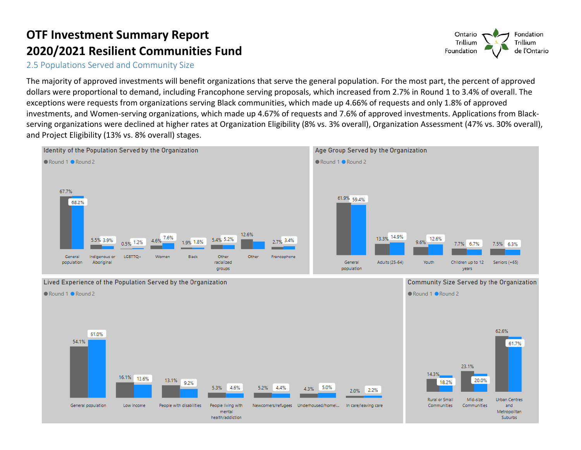2.5 Populations Served and Community Size

 The majority of approved investments will benefit organizations that serve the general population. For the most part, the percent of approved exceptions were requests from organizations serving Black communities, which made up 4.66% of requests and only 1.8% of approved dollars were proportional to demand, including Francophone serving proposals, which increased from 2.7% in Round 1 to 3.4% of overall. The investments, and Women-serving organizations, which made up 4.67% of requests and 7.6% of approved investments. Applications from Blackserving organizations were declined at higher rates at Organization Eligibility (8% vs. 3% overall), Organization Assessment (47% vs. 30% overall), and Project Eligibility (13% vs. 8% overall) stages.



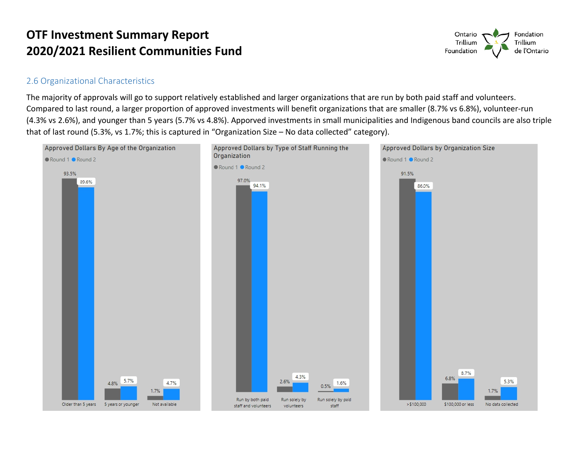

#### 2.6 Organizational Characteristics

 The majority of approvals will go to support relatively established and larger organizations that are run by both paid staff and volunteers. Compared to last round, a larger proportion of approved investments will benefit organizations that are smaller (8.7% vs 6.8%), volunteer-run (4.3% vs 2.6%), and younger than 5 years (5.7% vs 4.8%). Apporved investments in small municipalities and Indigenous band councils are also triple that of last round (5.3%, vs 1.7%; this is captured in "Organization Size – No data collected" category).